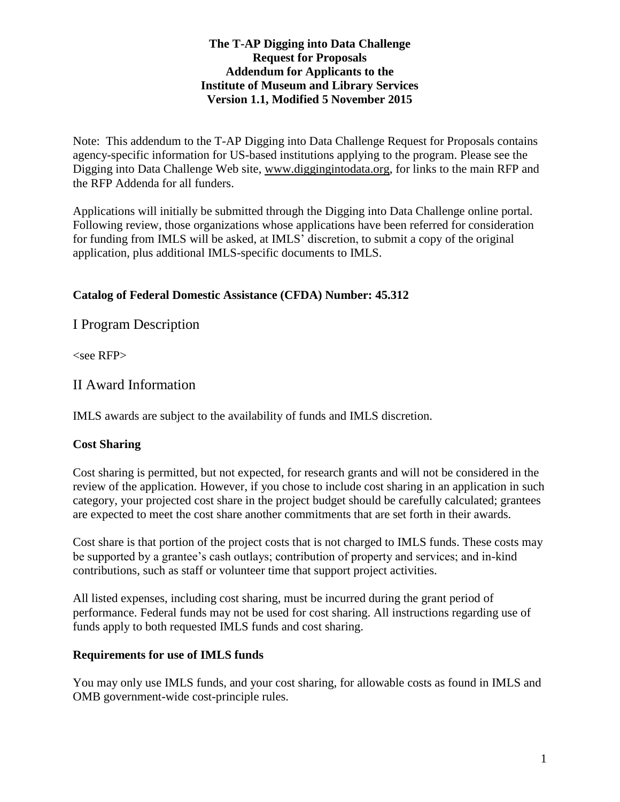#### **The T-AP Digging into Data Challenge Request for Proposals Addendum for Applicants to the Institute of Museum and Library Services Version 1.1, Modified 5 November 2015**

Note: This addendum to the T-AP Digging into Data Challenge Request for Proposals contains agency-specific information for US-based institutions applying to the program. Please see the Digging into Data Challenge Web site, [www.diggingintodata.org,](http://www.diggingintodata.org/) for links to the main RFP and the RFP Addenda for all funders.

Applications will initially be submitted through the Digging into Data Challenge online portal. Following review, those organizations whose applications have been referred for consideration for funding from IMLS will be asked, at IMLS' discretion, to submit a copy of the original application, plus additional IMLS-specific documents to IMLS.

### **Catalog of Federal Domestic Assistance (CFDA) Number: 45.312**

I Program Description

<see RFP>

II Award Information

IMLS awards are subject to the availability of funds and IMLS discretion.

#### **Cost Sharing**

Cost sharing is permitted, but not expected, for research grants and will not be considered in the review of the application. However, if you chose to include cost sharing in an application in such category, your projected cost share in the project budget should be carefully calculated; grantees are expected to meet the cost share another commitments that are set forth in their awards.

Cost share is that portion of the project costs that is not charged to IMLS funds. These costs may be supported by a grantee's cash outlays; contribution of property and services; and in-kind contributions, such as staff or volunteer time that support project activities.

All listed expenses, including cost sharing, must be incurred during the grant period of performance. Federal funds may not be used for cost sharing. All instructions regarding use of funds apply to both requested IMLS funds and cost sharing.

#### **Requirements for use of IMLS funds**

You may only use IMLS funds, and your cost sharing, for allowable costs as found in IMLS and OMB government-wide cost-principle rules.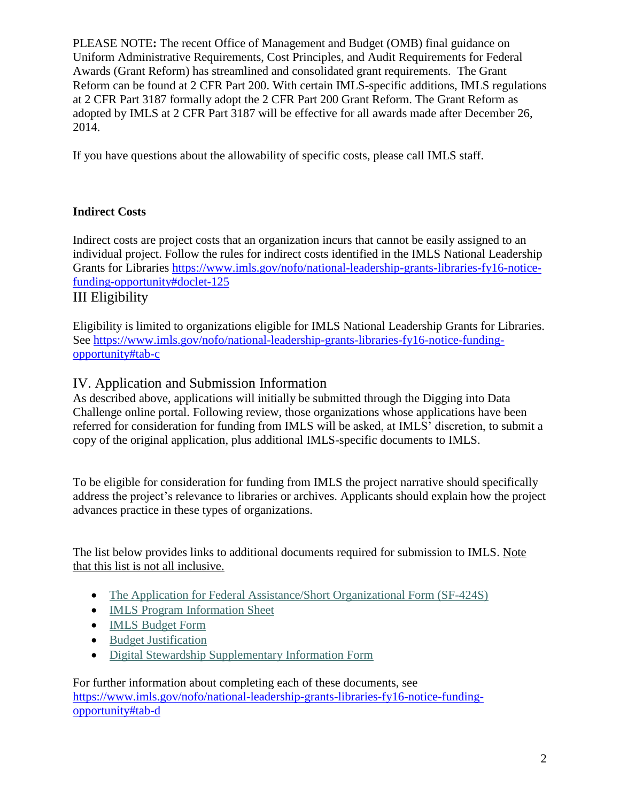PLEASE NOTE**:** The recent Office of Management and Budget (OMB) final guidance on Uniform Administrative Requirements, Cost Principles, and Audit Requirements for Federal Awards (Grant Reform) has streamlined and consolidated grant requirements. The Grant Reform can be found at 2 CFR Part 200. With certain IMLS-specific additions, IMLS regulations at 2 CFR Part 3187 formally adopt the 2 CFR Part 200 Grant Reform. The Grant Reform as adopted by IMLS at 2 CFR Part 3187 will be effective for all awards made after December 26, 2014.

If you have questions about the allowability of specific costs, please call IMLS staff.

### **Indirect Costs**

Indirect costs are project costs that an organization incurs that cannot be easily assigned to an individual project. Follow the rules for indirect costs identified in the IMLS National Leadership Grants for Libraries [https://www.imls.gov/nofo/national-leadership-grants-libraries-fy16-notice](https://www.imls.gov/nofo/national-leadership-grants-libraries-fy16-notice-funding-opportunity#doclet-125)[funding-opportunity#doclet-125](https://www.imls.gov/nofo/national-leadership-grants-libraries-fy16-notice-funding-opportunity#doclet-125)

III Eligibility

Eligibility is limited to organizations eligible for IMLS National Leadership Grants for Libraries. See [https://www.imls.gov/nofo/national-leadership-grants-libraries-fy16-notice-funding](https://www.imls.gov/nofo/national-leadership-grants-libraries-fy16-notice-funding-opportunity#tab-c)[opportunity#tab-c](https://www.imls.gov/nofo/national-leadership-grants-libraries-fy16-notice-funding-opportunity#tab-c)

## IV. Application and Submission Information

As described above, applications will initially be submitted through the Digging into Data Challenge online portal. Following review, those organizations whose applications have been referred for consideration for funding from IMLS will be asked, at IMLS' discretion, to submit a copy of the original application, plus additional IMLS-specific documents to IMLS.

To be eligible for consideration for funding from IMLS the project narrative should specifically address the project's relevance to libraries or archives. Applicants should explain how the project advances practice in these types of organizations.

The list below provides links to additional documents required for submission to IMLS. Note that this list is not all inclusive.

- [The Application for Federal Assistance/Short Organizational Form \(SF-424S\)](https://www.imls.gov/nofo/national-leadership-grants-libraries-fy16-notice-funding-opportunity#doclet-100)
- [IMLS Program Information Sheet](https://www.imls.gov/nofo/national-leadership-grants-libraries-fy16-notice-funding-opportunity#doclet-93)
- **[IMLS Budget Form](https://www.imls.gov/nofo/national-leadership-grants-libraries-fy16-notice-funding-opportunity#doclet-85)**
- [Budget Justification](https://www.imls.gov/nofo/national-leadership-grants-libraries-fy16-notice-funding-opportunity#doclet-85)
- [Digital Stewardship Supplementary Information Form](https://www.imls.gov/nofo/national-leadership-grants-libraries-fy16-notice-funding-opportunity#doclet-78)

For further information about completing each of these documents, see [https://www.imls.gov/nofo/national-leadership-grants-libraries-fy16-notice-funding](https://www.imls.gov/nofo/national-leadership-grants-libraries-fy16-notice-funding-opportunity#tab-d)[opportunity#tab-d](https://www.imls.gov/nofo/national-leadership-grants-libraries-fy16-notice-funding-opportunity#tab-d)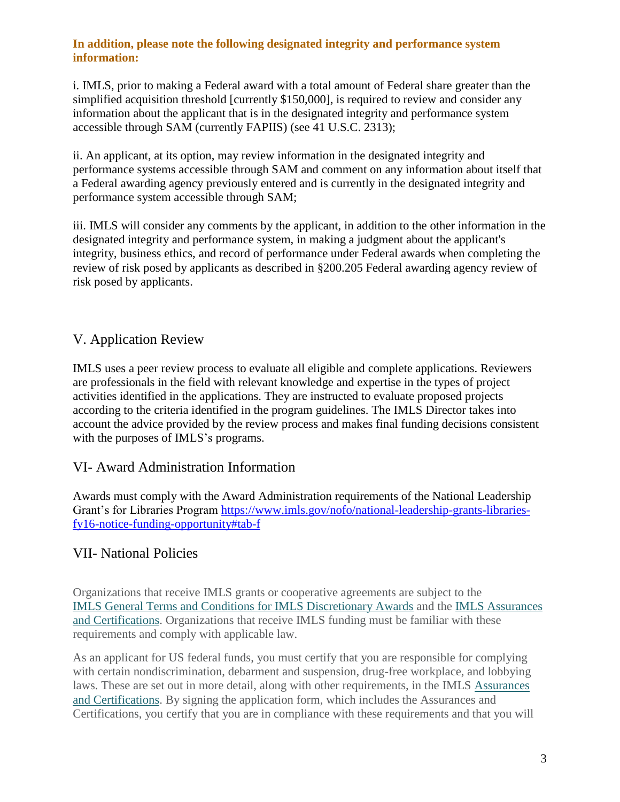#### **In addition, please note the following designated integrity and performance system information:**

i. IMLS, prior to making a Federal award with a total amount of Federal share greater than the simplified acquisition threshold [currently \$150,000], is required to review and consider any information about the applicant that is in the designated integrity and performance system accessible through SAM (currently FAPIIS) (see 41 U.S.C. 2313);

ii. An applicant, at its option, may review information in the designated integrity and performance systems accessible through SAM and comment on any information about itself that a Federal awarding agency previously entered and is currently in the designated integrity and performance system accessible through SAM;

iii. IMLS will consider any comments by the applicant, in addition to the other information in the designated integrity and performance system, in making a judgment about the applicant's integrity, business ethics, and record of performance under Federal awards when completing the review of risk posed by applicants as described in §200.205 Federal awarding agency review of risk posed by applicants.

# V. Application Review

IMLS uses a peer review process to evaluate all eligible and complete applications. Reviewers are professionals in the field with relevant knowledge and expertise in the types of project activities identified in the applications. They are instructed to evaluate proposed projects according to the criteria identified in the program guidelines. The IMLS Director takes into account the advice provided by the review process and makes final funding decisions consistent with the purposes of IMLS's programs.

## VI- Award Administration Information

Awards must comply with the Award Administration requirements of the National Leadership Grant's for Libraries Program [https://www.imls.gov/nofo/national-leadership-grants-libraries](https://www.imls.gov/nofo/national-leadership-grants-libraries-fy16-notice-funding-opportunity#tab-f)[fy16-notice-funding-opportunity#tab-f](https://www.imls.gov/nofo/national-leadership-grants-libraries-fy16-notice-funding-opportunity#tab-f)

## VII- National Policies

Organizations that receive IMLS grants or cooperative agreements are subject to the IMLS [General Terms and Conditions for IMLS Discretionary Awards](https://www.imls.gov/sites/default/files/gtc_afterdec2014_0315.pdf) and the [IMLS Assurances](https://www.imls.gov/imls-assurances-and-certifications)  [and Certifications.](https://www.imls.gov/imls-assurances-and-certifications) Organizations that receive IMLS funding must be familiar with these requirements and comply with applicable law.

As an applicant for US federal funds, you must certify that you are responsible for complying with certain nondiscrimination, debarment and suspension, drug-free workplace, and lobbying laws. These are set out in more detail, along with other requirements, in the IMLS [Assurances](https://www.imls.gov/imls-assurances-and-certifications)  [and Certifications.](https://www.imls.gov/imls-assurances-and-certifications) By signing the application form, which includes the Assurances and Certifications, you certify that you are in compliance with these requirements and that you will